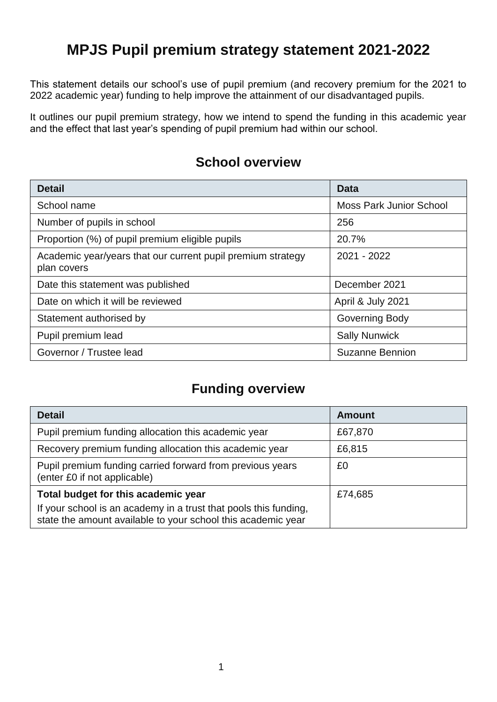# **MPJS Pupil premium strategy statement 2021-2022**

This statement details our school's use of pupil premium (and recovery premium for the 2021 to 2022 academic year) funding to help improve the attainment of our disadvantaged pupils.

It outlines our pupil premium strategy, how we intend to spend the funding in this academic year and the effect that last year's spending of pupil premium had within our school.

## **School overview**

| <b>Detail</b>                                                              | Data                           |
|----------------------------------------------------------------------------|--------------------------------|
| School name                                                                | <b>Moss Park Junior School</b> |
| Number of pupils in school                                                 | 256                            |
| Proportion (%) of pupil premium eligible pupils                            | 20.7%                          |
| Academic year/years that our current pupil premium strategy<br>plan covers | 2021 - 2022                    |
| Date this statement was published                                          | December 2021                  |
| Date on which it will be reviewed                                          | April & July 2021              |
| Statement authorised by                                                    | Governing Body                 |
| Pupil premium lead                                                         | <b>Sally Nunwick</b>           |
| Governor / Trustee lead                                                    | <b>Suzanne Bennion</b>         |

## **Funding overview**

| <b>Detail</b>                                                                                                                    | Amount  |
|----------------------------------------------------------------------------------------------------------------------------------|---------|
| Pupil premium funding allocation this academic year                                                                              | £67,870 |
| Recovery premium funding allocation this academic year                                                                           | £6,815  |
| Pupil premium funding carried forward from previous years<br>(enter £0 if not applicable)                                        | £0      |
| Total budget for this academic year                                                                                              | £74,685 |
| If your school is an academy in a trust that pools this funding,<br>state the amount available to your school this academic year |         |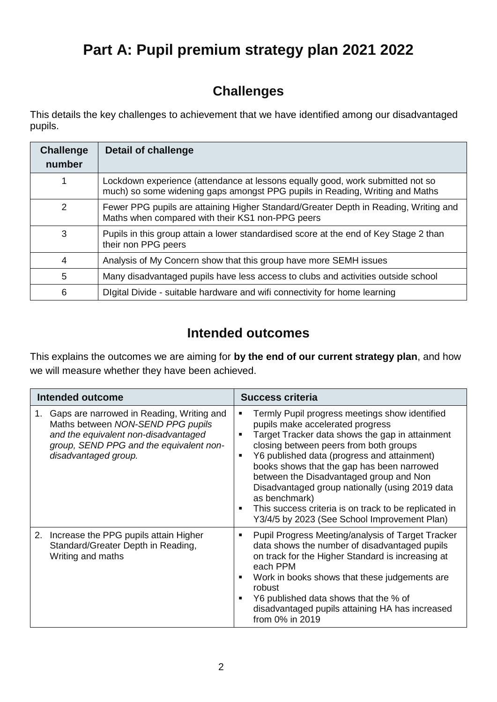# **Part A: Pupil premium strategy plan 2021 2022**

# **Challenges**

This details the key challenges to achievement that we have identified among our disadvantaged pupils.

| <b>Challenge</b><br>number | Detail of challenge                                                                                                                                            |
|----------------------------|----------------------------------------------------------------------------------------------------------------------------------------------------------------|
| 1                          | Lockdown experience (attendance at lessons equally good, work submitted not so<br>much) so some widening gaps amongst PPG pupils in Reading, Writing and Maths |
| 2                          | Fewer PPG pupils are attaining Higher Standard/Greater Depth in Reading, Writing and<br>Maths when compared with their KS1 non-PPG peers                       |
| 3                          | Pupils in this group attain a lower standardised score at the end of Key Stage 2 than<br>their non PPG peers                                                   |
| 4                          | Analysis of My Concern show that this group have more SEMH issues                                                                                              |
| 5                          | Many disadvantaged pupils have less access to clubs and activities outside school                                                                              |
| 6                          | Digital Divide - suitable hardware and wifi connectivity for home learning                                                                                     |

# **Intended outcomes**

This explains the outcomes we are aiming for **by the end of our current strategy plan**, and how we will measure whether they have been achieved.

| <b>Intended outcome</b>                                                                                                                                                                         | <b>Success criteria</b>                                                                                                                                                                                                                                                                                                                                                                                                                                                                                             |  |
|-------------------------------------------------------------------------------------------------------------------------------------------------------------------------------------------------|---------------------------------------------------------------------------------------------------------------------------------------------------------------------------------------------------------------------------------------------------------------------------------------------------------------------------------------------------------------------------------------------------------------------------------------------------------------------------------------------------------------------|--|
| Gaps are narrowed in Reading, Writing and<br>1.<br>Maths between NON-SEND PPG pupils<br>and the equivalent non-disadvantaged<br>group, SEND PPG and the equivalent non-<br>disadvantaged group. | Termly Pupil progress meetings show identified<br>pupils make accelerated progress<br>Target Tracker data shows the gap in attainment<br>٠<br>closing between peers from both groups<br>Y6 published data (progress and attainment)<br>٠<br>books shows that the gap has been narrowed<br>between the Disadvantaged group and Non<br>Disadvantaged group nationally (using 2019 data<br>as benchmark)<br>This success criteria is on track to be replicated in<br>٠<br>Y3/4/5 by 2023 (See School Improvement Plan) |  |
| 2. Increase the PPG pupils attain Higher<br>Standard/Greater Depth in Reading,<br>Writing and maths                                                                                             | Pupil Progress Meeting/analysis of Target Tracker<br>٠<br>data shows the number of disadvantaged pupils<br>on track for the Higher Standard is increasing at<br>each PPM<br>Work in books shows that these judgements are<br>robust<br>Y6 published data shows that the % of<br>disadvantaged pupils attaining HA has increased<br>from 0% in 2019                                                                                                                                                                  |  |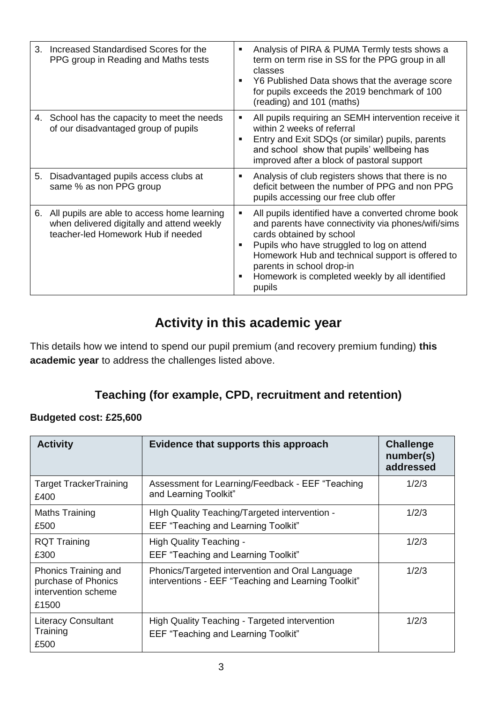| 3. | Increased Standardised Scores for the<br>PPG group in Reading and Maths tests                                                   | Analysis of PIRA & PUMA Termly tests shows a<br>٠<br>term on term rise in SS for the PPG group in all<br>classes<br>Y6 Published Data shows that the average score<br>for pupils exceeds the 2019 benchmark of 100<br>(reading) and 101 (maths)                                                                                           |
|----|---------------------------------------------------------------------------------------------------------------------------------|-------------------------------------------------------------------------------------------------------------------------------------------------------------------------------------------------------------------------------------------------------------------------------------------------------------------------------------------|
|    | 4. School has the capacity to meet the needs<br>of our disadvantaged group of pupils                                            | All pupils requiring an SEMH intervention receive it<br>٠<br>within 2 weeks of referral<br>Entry and Exit SDQs (or similar) pupils, parents<br>٠<br>and school show that pupils' wellbeing has<br>improved after a block of pastoral support                                                                                              |
| 5. | Disadvantaged pupils access clubs at<br>same % as non PPG group                                                                 | Analysis of club registers shows that there is no<br>٠<br>deficit between the number of PPG and non PPG<br>pupils accessing our free club offer                                                                                                                                                                                           |
| 6. | All pupils are able to access home learning<br>when delivered digitally and attend weekly<br>teacher-led Homework Hub if needed | All pupils identified have a converted chrome book<br>٠<br>and parents have connectivity via phones/wifi/sims<br>cards obtained by school<br>Pupils who have struggled to log on attend<br>٠<br>Homework Hub and technical support is offered to<br>parents in school drop-in<br>Homework is completed weekly by all identified<br>pupils |

# **Activity in this academic year**

This details how we intend to spend our pupil premium (and recovery premium funding) **this academic year** to address the challenges listed above.

## **Teaching (for example, CPD, recruitment and retention)**

#### **Budgeted cost: £25,600**

| <b>Activity</b>                                                             | Evidence that supports this approach                                                                   | <b>Challenge</b><br>number(s)<br>addressed |
|-----------------------------------------------------------------------------|--------------------------------------------------------------------------------------------------------|--------------------------------------------|
| <b>Target TrackerTraining</b><br>£400                                       | Assessment for Learning/Feedback - EEF "Teaching<br>and Learning Toolkit"                              | 1/2/3                                      |
| <b>Maths Training</b><br>£500                                               | High Quality Teaching/Targeted intervention -<br><b>EEF "Teaching and Learning Toolkit"</b>            | 1/2/3                                      |
| <b>RQT Training</b><br>£300                                                 | High Quality Teaching -<br><b>EEF "Teaching and Learning Toolkit"</b>                                  | 1/2/3                                      |
| Phonics Training and<br>purchase of Phonics<br>intervention scheme<br>£1500 | Phonics/Targeted intervention and Oral Language<br>interventions - EEF "Teaching and Learning Toolkit" | 1/2/3                                      |
| <b>Literacy Consultant</b><br>Training<br>£500                              | <b>High Quality Teaching - Targeted intervention</b><br><b>EEF "Teaching and Learning Toolkit"</b>     | 1/2/3                                      |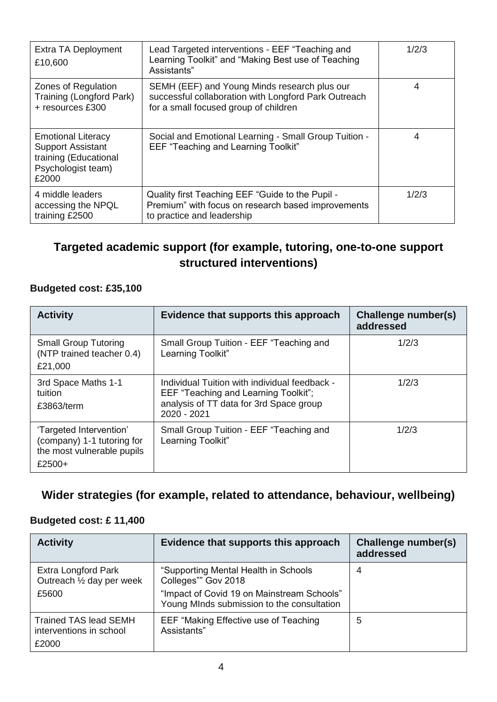| Extra TA Deployment<br>£10,600                                                                                | Lead Targeted interventions - EEF "Teaching and<br>Learning Toolkit" and "Making Best use of Teaching                                                        | 1/2/3 |
|---------------------------------------------------------------------------------------------------------------|--------------------------------------------------------------------------------------------------------------------------------------------------------------|-------|
| Zones of Regulation<br>Training (Longford Park)<br>+ resources £300                                           | Assistants"<br>SEMH (EEF) and Young Minds research plus our<br>successful collaboration with Longford Park Outreach<br>for a small focused group of children | 4     |
| <b>Emotional Literacy</b><br><b>Support Assistant</b><br>training (Educational<br>Psychologist team)<br>£2000 | Social and Emotional Learning - Small Group Tuition -<br><b>EEF "Teaching and Learning Toolkit"</b>                                                          | 4     |
| 4 middle leaders<br>accessing the NPQL<br>training £2500                                                      | Quality first Teaching EEF "Guide to the Pupil -<br>Premium" with focus on research based improvements<br>to practice and leadership                         | 1/2/3 |

## **Targeted academic support (for example, tutoring, one-to-one support structured interventions)**

### **Budgeted cost: £35,100**

| <b>Activity</b>                                                                                 | Evidence that supports this approach                                                                                                            | <b>Challenge number(s)</b><br>addressed |
|-------------------------------------------------------------------------------------------------|-------------------------------------------------------------------------------------------------------------------------------------------------|-----------------------------------------|
| <b>Small Group Tutoring</b><br>(NTP trained teacher 0.4)<br>£21,000                             | Small Group Tuition - EEF "Teaching and<br>Learning Toolkit"                                                                                    | 1/2/3                                   |
| 3rd Space Maths 1-1<br>tuition<br>£3863/term                                                    | Individual Tuition with individual feedback -<br>EEF "Teaching and Learning Toolkit";<br>analysis of TT data for 3rd Space group<br>2020 - 2021 | 1/2/3                                   |
| 'Targeted Intervention'<br>(company) 1-1 tutoring for<br>the most vulnerable pupils<br>$£2500+$ | Small Group Tuition - EEF "Teaching and<br>Learning Toolkit"                                                                                    | 1/2/3                                   |

### **Wider strategies (for example, related to attendance, behaviour, wellbeing)**

### **Budgeted cost: £ 11,400**

| <b>Activity</b>                                                  | Evidence that supports this approach                                                                                                                    | Challenge number(s)<br>addressed |
|------------------------------------------------------------------|---------------------------------------------------------------------------------------------------------------------------------------------------------|----------------------------------|
| Extra Longford Park<br>Outreach 1/2 day per week<br>£5600        | "Supporting Mental Health in Schools<br>Colleges"" Gov 2018<br>"Impact of Covid 19 on Mainstream Schools"<br>Young MInds submission to the consultation | 4                                |
| <b>Trained TAS lead SEMH</b><br>interventions in school<br>£2000 | EEF "Making Effective use of Teaching<br>Assistants"                                                                                                    | 5                                |